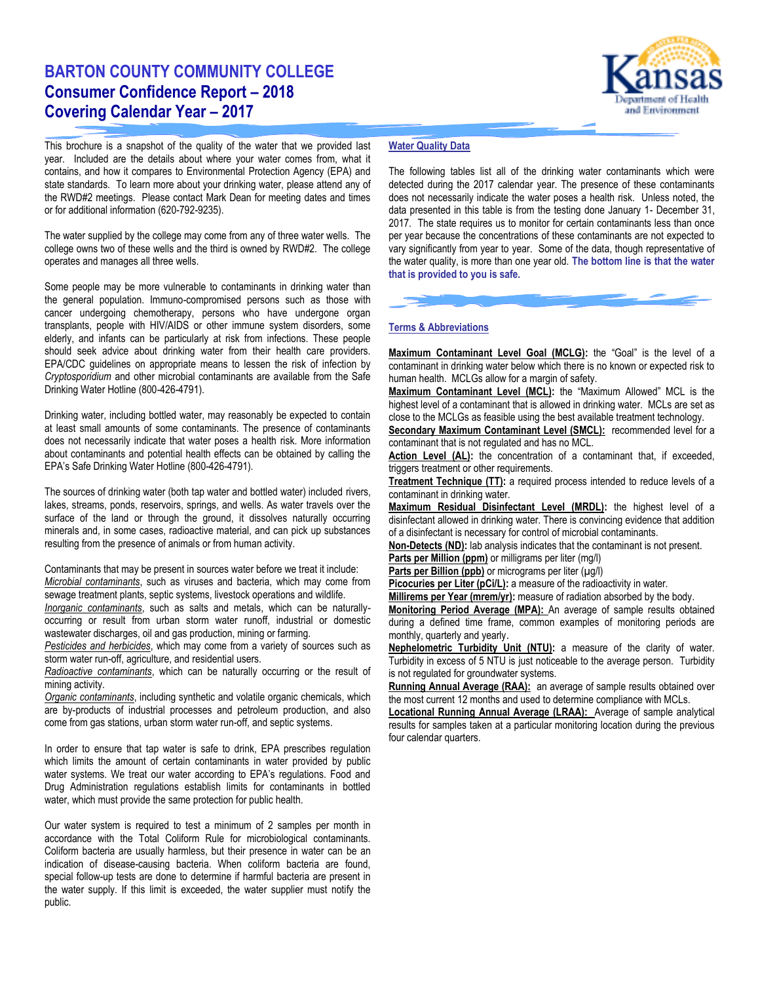# **BARTON COUNTY COMMUNITY COLLEGE Consumer Confidence Report – 2018 Covering Calendar Year – 2017**



This brochure is a snapshot of the quality of the water that we provided last year. Included are the details about where your water comes from, what it contains, and how it compares to Environmental Protection Agency (EPA) and state standards. To learn more about your drinking water, please attend any of the RWD#2 meetings. Please contact Mark Dean for meeting dates and times or for additional information (620-792-9235).

The water supplied by the college may come from any of three water wells. The college owns two of these wells and the third is owned by RWD#2. The college operates and manages all three wells.

Some people may be more vulnerable to contaminants in drinking water than the general population. Immuno-compromised persons such as those with cancer undergoing chemotherapy, persons who have undergone organ transplants, people with HIV/AIDS or other immune system disorders, some elderly, and infants can be particularly at risk from infections. These people should seek advice about drinking water from their health care providers. EPA/CDC guidelines on appropriate means to lessen the risk of infection by *Cryptosporidium* and other microbial contaminants are available from the Safe Drinking Water Hotline (800-426-4791).

Drinking water, including bottled water, may reasonably be expected to contain at least small amounts of some contaminants. The presence of contaminants does not necessarily indicate that water poses a health risk. More information about contaminants and potential health effects can be obtained by calling the EPA's Safe Drinking Water Hotline (800-426-4791).

The sources of drinking water (both tap water and bottled water) included rivers, lakes, streams, ponds, reservoirs, springs, and wells. As water travels over the surface of the land or through the ground, it dissolves naturally occurring minerals and, in some cases, radioactive material, and can pick up substances resulting from the presence of animals or from human activity.

Contaminants that may be present in sources water before we treat it include: *Microbial contaminants*, such as viruses and bacteria, which may come from sewage treatment plants, septic systems, livestock operations and wildlife.

*Inorganic contaminants*, such as salts and metals, which can be naturallyoccurring or result from urban storm water runoff, industrial or domestic wastewater discharges, oil and gas production, mining or farming.

*Pesticides and herbicides*, which may come from a variety of sources such as storm water run-off, agriculture, and residential users.

*Radioactive contaminants*, which can be naturally occurring or the result of mining activity.

*Organic contaminants*, including synthetic and volatile organic chemicals, which are by-products of industrial processes and petroleum production, and also come from gas stations, urban storm water run-off, and septic systems.

In order to ensure that tap water is safe to drink, EPA prescribes regulation which limits the amount of certain contaminants in water provided by public water systems. We treat our water according to EPA's regulations. Food and Drug Administration regulations establish limits for contaminants in bottled water, which must provide the same protection for public health.

Our water system is required to test a minimum of 2 samples per month in accordance with the Total Coliform Rule for microbiological contaminants. Coliform bacteria are usually harmless, but their presence in water can be an indication of disease-causing bacteria. When coliform bacteria are found, special follow-up tests are done to determine if harmful bacteria are present in the water supply. If this limit is exceeded, the water supplier must notify the public.

## **Water Quality Data**

The following tables list all of the drinking water contaminants which were detected during the 2017 calendar year. The presence of these contaminants does not necessarily indicate the water poses a health risk. Unless noted, the data presented in this table is from the testing done January 1- December 31, 2017. The state requires us to monitor for certain contaminants less than once per year because the concentrations of these contaminants are not expected to vary significantly from year to year. Some of the data, though representative of the water quality, is more than one year old. **The bottom line is that the water that is provided to you is safe.**

#### **Terms & Abbreviations**

**Maximum Contaminant Level Goal (MCLG):** the "Goal" is the level of a contaminant in drinking water below which there is no known or expected risk to human health. MCLGs allow for a margin of safety.

**Maximum Contaminant Level (MCL):** the "Maximum Allowed" MCL is the highest level of a contaminant that is allowed in drinking water. MCLs are set as close to the MCLGs as feasible using the best available treatment technology.

**Secondary Maximum Contaminant Level (SMCL):** recommended level for a contaminant that is not regulated and has no MCL.

**Action Level (AL):** the concentration of a contaminant that, if exceeded, triggers treatment or other requirements.

**Treatment Technique (TT):** a required process intended to reduce levels of a contaminant in drinking water.

**Maximum Residual Disinfectant Level (MRDL):** the highest level of a disinfectant allowed in drinking water. There is convincing evidence that addition of a disinfectant is necessary for control of microbial contaminants.

**Non-Detects (ND):** lab analysis indicates that the contaminant is not present.

**Parts per Million (ppm)** or milligrams per liter (mg/l)

Parts per Billion (ppb) or micrograms per liter (µg/l)

**Picocuries per Liter (pCi/L):** a measure of the radioactivity in water.

**Millirems per Year (mrem/yr):** measure of radiation absorbed by the body.

**Monitoring Period Average (MPA):** An average of sample results obtained during a defined time frame, common examples of monitoring periods are monthly, quarterly and yearly.

**Nephelometric Turbidity Unit (NTU):** a measure of the clarity of water. Turbidity in excess of 5 NTU is just noticeable to the average person. Turbidity is not regulated for groundwater systems.

Running Annual Average (RAA): an average of sample results obtained over the most current 12 months and used to determine compliance with MCLs.

**Locational Running Annual Average (LRAA):** Average of sample analytical results for samples taken at a particular monitoring location during the previous four calendar quarters.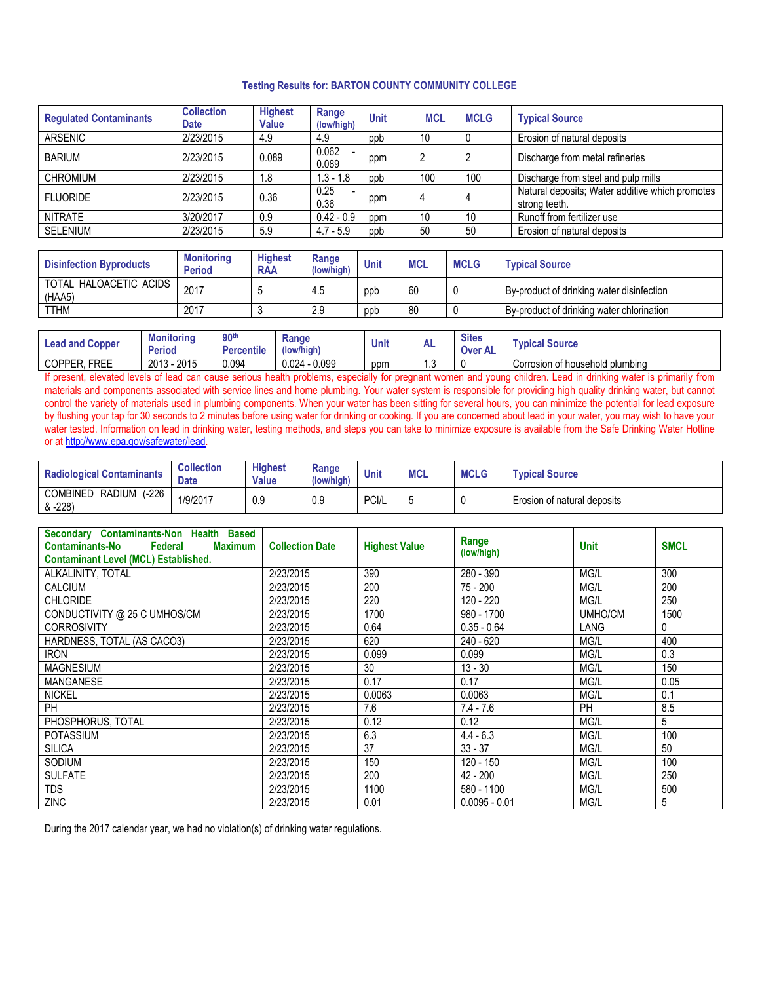### **Testing Results for: BARTON COUNTY COMMUNITY COLLEGE**

| <b>Collection</b><br><b>Date</b> | <b>Highest</b><br>Value | Range<br>(low/high) | <b>Unit</b> | <b>MCL</b> | <b>MCLG</b> | <b>Typical Source</b>                                            |
|----------------------------------|-------------------------|---------------------|-------------|------------|-------------|------------------------------------------------------------------|
| 2/23/2015                        | 4.9                     | 4.9                 | ppb         | 10         |             | Erosion of natural deposits                                      |
| 2/23/2015                        | 0.089                   | 0.062<br>0.089      | ppm         | 2          |             | Discharge from metal refineries                                  |
| 2/23/2015                        | 1.8                     | $1.3 - 1.8$         | ppb         | 100        | 100         | Discharge from steel and pulp mills                              |
| 2/23/2015                        | 0.36                    | 0.25<br>0.36        | ppm         | 4          | 4           | Natural deposits; Water additive which promotes<br>strong teeth. |
| 3/20/2017                        | 0.9                     | $0.42 - 0.9$        | ppm         | 10         | 10          | Runoff from fertilizer use                                       |
| 2/23/2015                        | 5.9                     | $4.7 - 5.9$         | ppb         | 50         | 50          | Erosion of natural deposits                                      |
|                                  |                         |                     |             |            |             |                                                                  |

| <b>Disinfection Byproducts</b>   | <b>Monitoring</b><br><b>Period</b> | <b>Highest</b><br><b>RAA</b> | Range<br>(low/high) | Unit | MCL | <b>MCLG</b> | <b>Typical Source</b>                     |
|----------------------------------|------------------------------------|------------------------------|---------------------|------|-----|-------------|-------------------------------------------|
| TOTAL HALOACETIC ACIDS<br>(HAA5) | 2017                               |                              | 4.5                 | ppt  | 60  |             | By-product of drinking water disinfection |
| <b>TTHM</b>                      | 2017                               |                              | 2.9                 | ppb  | 80  |             | By-product of drinking water chlorination |

| <b>Lead and Copper</b> | Monitoring<br><b>Period</b> | 90 <sup>th</sup><br>Percentile | Range<br>(low/high) | Unit | nц.  | <b>Sites</b><br><b>Over AL</b> | <b>Voical Source</b>            |
|------------------------|-----------------------------|--------------------------------|---------------------|------|------|--------------------------------|---------------------------------|
| COPPEI<br><b>FREE</b>  | 2015<br>2013                | 0.094                          | 0.099<br>$0.024 -$  | ppm  | ں. . |                                | Corrosion of household plumbing |

If present, elevated levels of lead can cause serious health problems, especially for pregnant women and young children. Lead in drinking water is primarily from materials and components associated with service lines and home plumbing. Your water system is responsible for providing high quality drinking water, but cannot control the variety of materials used in plumbing components. When your water has been sitting for several hours, you can minimize the potential for lead exposure by flushing your tap for 30 seconds to 2 minutes before using water for drinking or cooking. If you are concerned about lead in your water, you may wish to have your water tested. Information on lead in drinking water, testing methods, and steps you can take to minimize exposure is available from the Safe Drinking Water Hotline or at [http://www.epa.gov/safewater/lead.](http://www.epa.gov/safewater/lead)

| <b>Radiological Contaminants</b>                      | <b>Collection</b><br><b>Date</b> | <b>Highest</b><br>Value | Range<br>(low/high) | <b>Unit</b> | <b>MCL</b> | <b>MCLG</b> | <b>Typical Source</b>       |
|-------------------------------------------------------|----------------------------------|-------------------------|---------------------|-------------|------------|-------------|-----------------------------|
| $-226$<br><b>RADIUM</b><br><b>COMBINED</b><br>& -228) | 1/9/2017                         | 0.9                     | 0.9                 | PCI/L       | ∽<br>×.    |             | Erosion of natural deposits |

| Secondary Contaminants-Non Health Based<br>Federal<br><b>Contaminants-No</b><br>Maximum<br><b>Contaminant Level (MCL) Established.</b> | <b>Collection Date</b> | <b>Highest Value</b> | Range<br>(low/high) | <b>Unit</b> | <b>SMCL</b> |
|----------------------------------------------------------------------------------------------------------------------------------------|------------------------|----------------------|---------------------|-------------|-------------|
| ALKALINITY, TOTAL                                                                                                                      | 2/23/2015              | 390                  | 280 - 390           | MG/L        | 300         |
| <b>CALCIUM</b>                                                                                                                         | 2/23/2015              | 200                  | $75 - 200$          | MG/L        | 200         |
| <b>CHLORIDE</b>                                                                                                                        | 2/23/2015              | 220                  | 120 - 220           | MG/L        | 250         |
| CONDUCTIVITY @ 25 C UMHOS/CM                                                                                                           | 2/23/2015              | 1700                 | 980 - 1700          | UMHO/CM     | 1500        |
| <b>CORROSIVITY</b>                                                                                                                     | 2/23/2015              | 0.64                 | $0.35 - 0.64$       | LANG        | 0           |
| HARDNESS, TOTAL (AS CACO3)                                                                                                             | 2/23/2015              | 620                  | $240 - 620$         | MG/L        | 400         |
| <b>IRON</b>                                                                                                                            | 2/23/2015              | 0.099                | 0.099               | MG/L        | 0.3         |
| <b>MAGNESIUM</b>                                                                                                                       | 2/23/2015              | 30                   | $13 - 30$           | MG/L        | 150         |
| <b>MANGANESE</b>                                                                                                                       | 2/23/2015              | 0.17                 | 0.17                | MG/L        | 0.05        |
| <b>NICKEL</b>                                                                                                                          | 2/23/2015              | 0.0063               | 0.0063              | MG/L        | 0.1         |
| <b>PH</b>                                                                                                                              | 2/23/2015              | 7.6                  | $7.4 - 7.6$         | PH          | 8.5         |
| PHOSPHORUS, TOTAL                                                                                                                      | 2/23/2015              | 0.12                 | 0.12                | MG/L        | 5           |
| <b>POTASSIUM</b>                                                                                                                       | 2/23/2015              | 6.3                  | $4.4 - 6.3$         | MG/L        | 100         |
| <b>SILICA</b>                                                                                                                          | 2/23/2015              | 37                   | $33 - 37$           | MG/L        | 50          |
| SODIUM                                                                                                                                 | 2/23/2015              | 150                  | 120 - 150           | MG/L        | 100         |
| <b>SULFATE</b>                                                                                                                         | 2/23/2015              | 200                  | $42 - 200$          | MG/L        | 250         |
| <b>TDS</b>                                                                                                                             | 2/23/2015              | 1100                 | 580 - 1100          | MG/L        | 500         |
| <b>ZINC</b>                                                                                                                            | 2/23/2015              | 0.01                 | $0.0095 - 0.01$     | MG/L        | 5           |

During the 2017 calendar year, we had no violation(s) of drinking water regulations.